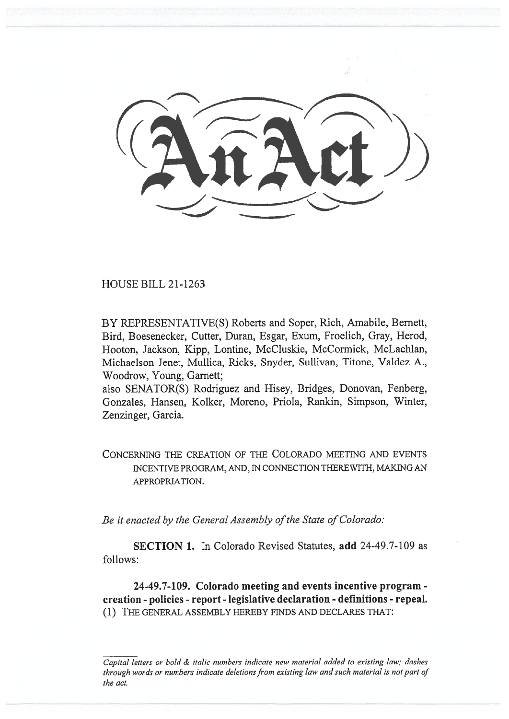HOUSE BILL 21-1263

BY REPRESENTATIVE(S) Roberts and Soper, Rich, Amabile, Bernett, Bird, Boesenecker, Cutter, Duran, Esgar, Exum, Froelich, Gray, Herod, Hooton, Jackson, Kipp, Lontine, McCluskie, McCormick, McLachlan, Michaelson Jenet, Mullica, Ricks, Snyder, Sullivan, Titone, Valdez A., Woodrow, Young, Garnett;

also SENATOR(S) Rodriguez and Hisey, Bridges, Donovan, Fenberg, Gonzales, Hansen, Kolker, Moreno, Priola, Rankin, Simpson, Winter, Zenzinger, Garcia.

CONCERNING THE CREATION OF THE COLORADO MEETING AND EVENTS INCENTIVE PROGRAM, AND, IN CONNECTION THEREWITH, MAKING AN APPROPRIATION.

Be it enacted by the General Assembly of the State of Colorado:

SECTION 1. In Colorado Revised Statutes, add 24-49.7-109 as follows:

24-49.7-109. Colorado meeting and events incentive program creation - policies - report - legislative declaration - definitions - repeal. (1) THE GENERAL ASSEMBLY HEREBY FINDS AND DECLARES THAT:

Capital letters or bold & italic numbers indicate new material added to existing law; dashes through words or numbers indicate deletions from existing law and such material is not part of the act.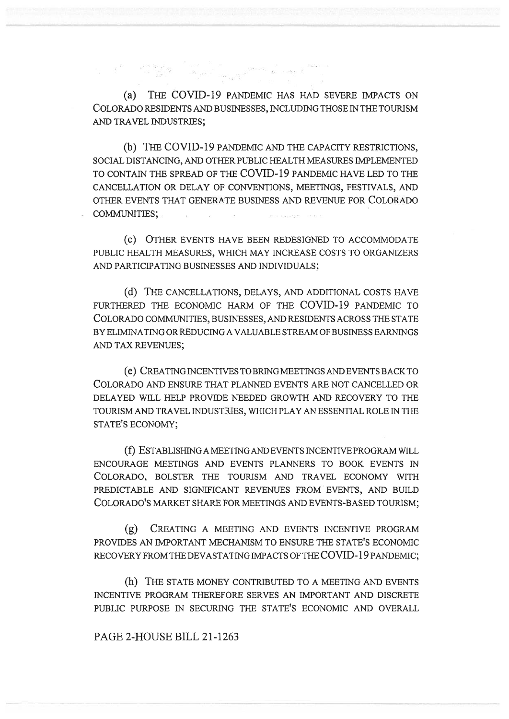(a) THE COVID-19 PANDEMIC HAS HAD SEVERE IMPACTS ON COLORADO RESIDENTS AND BUSINESSES, INCLUDING THOSE IN THE TOURISM AND TRAVEL INDUSTRIES;

 $\label{eq:3.1} \begin{array}{cccccc} \mathbf{e}^{(1)} & \mathbf{e}^{(2)} & \mathbf{e}^{(2)} & \mathbf{e}^{(2)} & \mathbf{e}^{(2)} & \mathbf{e}^{(2)} & \mathbf{e}^{(2)} & \mathbf{e}^{(2)} & \mathbf{e}^{(2)} & \mathbf{e}^{(2)} & \mathbf{e}^{(2)} & \mathbf{e}^{(2)} & \mathbf{e}^{(2)} & \mathbf{e}^{(2)} & \mathbf{e}^{(2)} & \mathbf{e}^{(2)} & \mathbf{e}^{(2)} & \mathbf{e}^{(2)} & \mathbf{e$ 

(b) THE COVID-19 PANDEMIC AND THE CAPACITY RESTRICTIONS, SOCIAL DISTANCING, AND OTHER PUBLIC HEALTH MEASURES IMPLEMENTED TO CONTAIN THE SPREAD OF THE COVID-19 PANDEMIC HAVE LED TO THE CANCELLATION OR DELAY OF CONVENTIONS, MEETINGS, FESTIVALS, AND OTHER EVENTS THAT GENERATE BUSINESS AND REVENUE FOR COLORADO COMMUNITIES;

(c) OTHER EVENTS HAVE BEEN REDESIGNED TO ACCOMMODATE PUBLIC HEALTH MEASURES, WHICH MAY INCREASE COSTS TO ORGANIZERS AND PARTICIPATING BUSINESSES AND INDIVIDUALS;

(d) THE CANCELLATIONS, DELAYS, AND ADDITIONAL COSTS HAVE FURTHERED THE ECONOMIC HARM OF THE COVID-19 PANDEMIC TO COLORADO COMMUNITIES, BUSINESSES, AND RESIDENTS ACROSS THE STATE BY ELIMINATING OR REDUCING A VALUABLE STREAM OF BUSINESS EARNINGS AND TAX REVENUES;

(e) CREATING INCENTIVES TO BRING MEETINGS AND EVENTS BACK TO COLORADO AND ENSURE THAT PLANNED EVENTS ARE NOT CANCELLED OR DELAYED WILL HELP PROVIDE NEEDED GROWTH AND RECOVERY TO THE TOURISM AND TRAVEL INDUSTRIES, WHICH PLAY AN ESSENTIAL ROLE IN THE STATE'S ECONOMY;

(f) ESTABLISHING A MEETING AND EVENTS INCENTIVE PROGRAM WILL ENCOURAGE MEETINGS AND EVENTS PLANNERS TO BOOK EVENTS IN COLORADO, BOLSTER THE TOURISM AND TRAVEL ECONOMY WITH PREDICTABLE AND SIGNIFICANT REVENUES FROM EVENTS, AND BUILD COLORADO'S MARKET SHARE FOR MEETINGS AND EVENTS-BASED TOURISM;

(g) CREATING A MEETING AND EVENTS INCENTIVE PROGRAM PROVIDES AN IMPORTANT MECHANISM TO ENSURE THE STATE'S ECONOMIC RECOVERY FROM THE DEVASTATING IMPACTS OF THE COVID-19 PANDEMIC;

(h) THE STATE MONEY CONTRIBUTED TO A MEETING AND EVENTS INCENTIVE PROGRAM THEREFORE SERVES AN IMPORTANT AND DISCRETE PUBLIC PURPOSE IN SECURING THE STATE'S ECONOMIC AND OVERALL

PAGE 2-HOUSE BILL 21-1263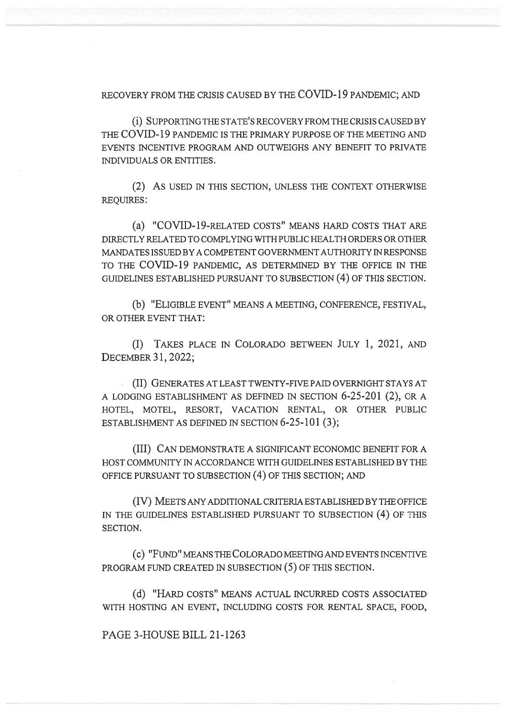RECOVERY FROM THE CRISIS CAUSED BY THE COVID-19 PANDEMIC; AND

(i) SUPPORTING THE STATE'S RECOVERY FROM THE CRISIS CAUSED BY THE COVID-19 PANDEMIC IS THE PRIMARY PURPOSE OF THE MEETING AND EVENTS INCENTIVE PROGRAM AND OUTWEIGHS ANY BENEFIT TO PRIVATE INDIVIDUALS OR ENTITIES.

(2) AS USED IN THIS SECTION, UNLESS THE CONTEXT OTHERWISE REQUIRES:

(a) "COVID-19-RELATED COSTS" MEANS HARD COSTS THAT ARE DIRECTLY RELATED TO COMPLYING WITH PUBLIC HEALTH ORDERS OR OTHER MANDATES ISSUED BY A COMPETENT GOVERNMENT AUTHORITY IN RESPONSE TO THE COVID-19 PANDEMIC, AS DETERMINED BY THE OFFICE IN THE GUIDELINES ESTABLISHED PURSUANT TO SUBSECTION (4) OF THIS SECTION.

(b) "ELIGIBLE EVENT" MEANS A MEETING, CONFERENCE, FESTIVAL, OR OTHER EVENT THAT:

(I) TAKES PLACE IN COLORADO BETWEEN JULY 1, 2021, AND DECEMBER 31, 2022;

(II) GENERATES AT LEAST TWENTY-FIVE PAID OVERNIGHT STAYS AT A LODGING ESTABLISHMENT AS DEFINED IN SECTION 6-25-201 (2), OR A HOTEL, MOTEL, RESORT, VACATION RENTAL, OR OTHER PUBLIC ESTABLISHMENT AS DEFINED IN SECTION 6-25-101 (3);

(III) CAN DEMONSTRATE A SIGNIFICANT ECONOMIC BENEFIT FOR A HOST COMMUNITY IN ACCORDANCE WITH GUIDELINES ESTABLISHED BY THE OFFICE PURSUANT TO SUBSECTION (4) OF THIS SECTION; AND

(IV) MEETS ANY ADDITIONAL CRITERIA ESTABLISHED BY THE OFFICE IN THE GUIDELINES ESTABLISHED PURSUANT TO SUBSECTION (4) OF THIS SECTION.

(C) "FUND" MEANS THE COLORADO MEETING AND EVENTS INCENTIVE PROGRAM FUND CREATED IN SUBSECTION (5) OF THIS SECTION.

(d) "HARD COSTS" MEANS ACTUAL INCURRED COSTS ASSOCIATED WITH HOSTING AN EVENT, INCLUDING COSTS FOR RENTAL SPACE, FOOD,

PAGE 3-HOUSE BILL 21-1263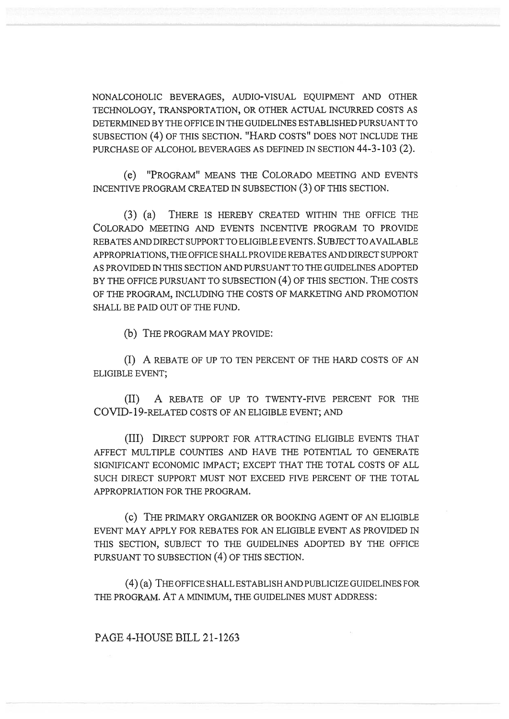NONALCOHOLIC BEVERAGES, AUDIO-VISUAL EQUIPMENT AND OTHER TECHNOLOGY, TRANSPORTATION, OR OTHER ACTUAL INCURRED COSTS AS DETERMINED BY THE OFFICE IN THE GUIDELINES ESTABLISHED PURSUANT TO SUBSECTION (4) OF THIS SECTION. "HARD COSTS" DOES NOT INCLUDE THE PURCHASE OF ALCOHOL BEVERAGES AS DEFINED IN SECTION 44-3-103 (2).

(e) "PROGRAM" MEANS THE COLORADO MEETING AND EVENTS INCENTIVE PROGRAM CREATED IN SUBSECTION (3) OF THIS SECTION.

(3) (a) THERE IS HEREBY CREATED WITHIN THE OFFICE THE COLORADO MEETING AND EVENTS INCENTIVE PROGRAM TO PROVIDE REBATES AND DIRECT SUPPORT TO ELIGIBLE EVENTS. SUBJECT TO AVAILABLE APPROPRIATIONS, THE OFFICE SHALL PROVIDE REBATES AND DIRECT SUPPORT AS PROVIDED IN THIS SECTION AND PURSUANT TO THE GUIDELINES ADOPTED BY THE OFFICE PURSUANT TO SUBSECTION (4) OF THIS SECTION. THE COSTS OF THE PROGRAM, INCLUDING THE COSTS OF MARKETING AND PROMOTION SHALL BE PAID OUT OF THE FUND.

(b) THE PROGRAM MAY PROVIDE:

(I) A REBATE OF UP TO TEN PERCENT OF THE HARD COSTS OF AN ELIGIBLE EVENT;

(II) A REBATE OF UP TO TWENTY-FIVE PERCENT FOR THE COVID-19-RELATED COSTS OF AN ELIGIBLE EVENT; AND

(III) DIRECT SUPPORT FOR ATTRACTING ELIGIBLE EVENTS THAT AFFECT MULTIPLE COUNTIES AND HAVE THE POTENTIAL TO GENERATE SIGNIFICANT ECONOMIC IMPACT; EXCEPT THAT THE TOTAL COSTS OF ALL SUCH DIRECT SUPPORT MUST NOT EXCEED FIVE PERCENT OF THE TOTAL APPROPRIATION FOR THE PROGRAM.

(c) THE PRIMARY ORGANIZER OR BOOKING AGENT OF AN ELIGIBLE EVENT MAY APPLY FOR REBATES FOR AN ELIGIBLE EVENT AS PROVIDED IN THIS SECTION, SUBJECT TO THE GUIDELINES ADOPTED BY THE OFFICE PURSUANT TO SUBSECTION (4) OF THIS SECTION.

(4) (a) THE OFFICE SHALL ESTABLISH AND PUBLICIZE GUIDELINES FOR THE PROGRAM. AT A MINIMUM, THE GUIDELINES MUST ADDRESS:

PAGE 4-HOUSE BILL 21-1263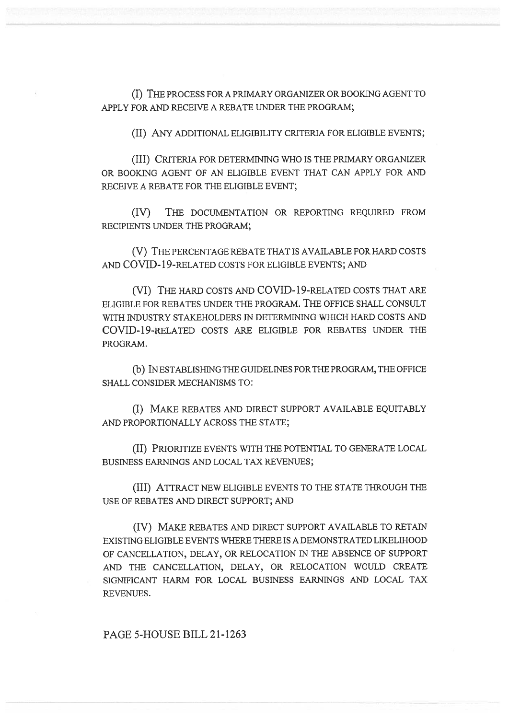(I) THE PROCESS FOR A PRIMARY ORGANIZER OR BOOKING AGENT TO APPLY FOR AND RECEIVE A REBATE UNDER THE PROGRAM;

(II) ANY ADDITIONAL ELIGIBILITY CRITERIA FOR ELIGIBLE EVENTS;

(III) CRITERIA FOR DETERMINING WHO IS THE PRIMARY ORGANIZER OR BOOKING AGENT OF AN ELIGIBLE EVENT THAT CAN APPLY FOR AND RECEIVE A REBATE FOR THE ELIGIBLE EVENT;

(IV) THE DOCUMENTATION OR REPORTING REQUIRED FROM RECIPIENTS UNDER THE PROGRAM;

(V) THE PERCENTAGE REBATE THAT IS AVAILABLE FOR HARD COSTS AND COVID-19-RELATED COSTS FOR ELIGIBLE EVENTS; AND

(VI) THE HARD COSTS AND COVID-19-RELATED COSTS THAT ARE ELIGIBLE FOR REBATES UNDER THE PROGRAM. THE OFFICE SHALL CONSULT WITH INDUSTRY STAKEHOLDERS IN DETERMINING WHICH HARD COSTS AND COVID-19-RELATED COSTS ARE ELIGIBLE FOR REBATES UNDER THE PROGRAM.

(b) IN ESTABLISHING THE GUIDELINES FOR THE PROGRAM, THE OFFICE SHALL CONSIDER MECHANISMS TO:

(I) MAKE REBATES AND DIRECT SUPPORT AVAILABLE EQUITABLY AND PROPORTIONALLY ACROSS THE STATE;

(II) PRIORITIZE EVENTS WITH THE POTENTIAL TO GENERATE LOCAL BUSINESS EARNINGS AND LOCAL TAX REVENUES;

(III) ATTRACT NEW ELIGIBLE EVENTS TO THE STATE THROUGH THE USE OF REBATES AND DIRECT SUPPORT; AND

(IV) MAKE REBATES AND DIRECT SUPPORT AVAILABLE TO RETAIN EXISTING ELIGIBLE EVENTS WHERE THERE IS A DEMONSTRATED LIKELIHOOD OF CANCELLATION, DELAY, OR RELOCATION IN THE ABSENCE OF SUPPORT AND THE CANCELLATION, DELAY, OR RELOCATION WOULD CREATE SIGNIFICANT HARM FOR LOCAL BUSINESS EARNINGS AND LOCAL TAX REVENUES.

PAGE 5-HOUSE BILL 21-1263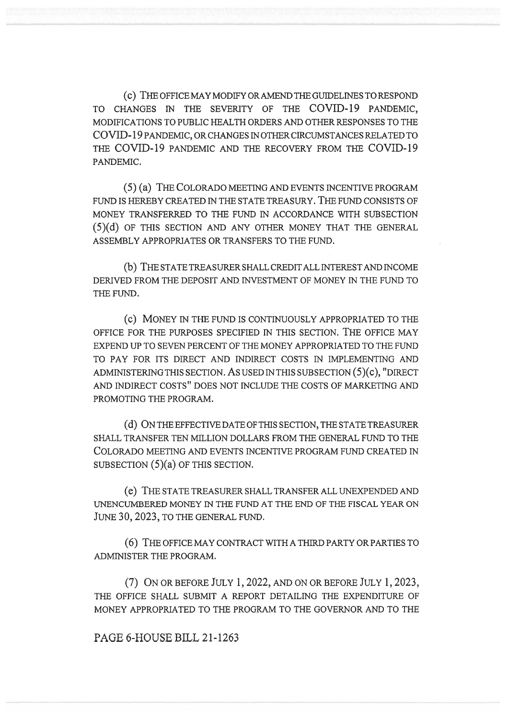(C) THE OFFICE MAY MODIFY OR AMEND THE GUIDELINES TO RESPOND TO CHANGES IN THE SEVERITY OF THE COVID-19 PANDEMIC, MODIFICATIONS TO PUBLIC HEALTH ORDERS AND OTHER RESPONSES TO THE COVID-19 PANDEMIC, OR CHANGES IN OTHER CIRCUMSTANCES RELATED TO THE COVID-19 PANDEMIC AND THE RECOVERY FROM THE COVID-19 PANDEMIC.

(5) (a) THE COLORADO MEETING AND EVENTS INCENTIVE PROGRAM FUND IS HEREBY CREATED IN THE STATE TREASURY. THE FUND CONSISTS OF MONEY TRANSFERRED TO THE FUND IN ACCORDANCE WITH SUBSECTION (5)(d) OF THIS SECTION AND ANY OTHER MONEY THAT THE GENERAL ASSEMBLY APPROPRIATES OR TRANSFERS TO THE FUND.

(b) THE STATE TREASURER SHALL CREDIT ALL INTEREST AND INCOME DERIVED FROM THE DEPOSIT AND INVESTMENT OF MONEY IN THE FUND TO THE FUND.

(C) MONEY IN THE FUND IS CONTINUOUSLY APPROPRIATED TO THE OFFICE FOR THE PURPOSES SPECIFIED IN THIS SECTION. THE OFFICE MAY EXPEND UP TO SEVEN PERCENT OF THE MONEY APPROPRIATED TO THE FUND TO PAY FOR ITS DIRECT AND INDIRECT COSTS IN IMPLEMENTING AND ADMINISTERING THIS SECTION. AS USED IN THIS SUBSECTION (5)(c), "DIRECT AND INDIRECT COSTS" DOES NOT INCLUDE THE COSTS OF MARKETING AND PROMOTING THE PROGRAM.

(d) ON THE EFFECTIVE DATE OF THIS SECTION, THE STATE TREASURER SHALL TRANSFER TEN MILLION DOLLARS FROM THE GENERAL FUND TO THE COLORADO MEETING AND EVENTS INCENTIVE PROGRAM FUND CREATED IN SUBSECTION (5)(a) OF THIS SECTION.

(e) THE STATE TREASURER SHALL TRANSFER ALL UNEXPENDED AND UNENCUMBERED MONEY IN THE FUND AT THE END OF THE FISCAL YEAR ON JUNE 30, 2023, TO THE GENERAL FUND.

(6) THE OFFICE MAY CONTRACT WITH A THIRD PARTY OR PARTIES TO ADMINISTER THE PROGRAM.

(7) ON OR BEFORE JULY 1, 2022, AND ON OR BEFORE JULY 1, 2023, THE OFFICE SHALL SUBMIT A REPORT DETAILING THE EXPENDITURE OF MONEY APPROPRIATED TO THE PROGRAM TO THE GOVERNOR AND TO THE

## PAGE 6-HOUSE BILL 21-1263